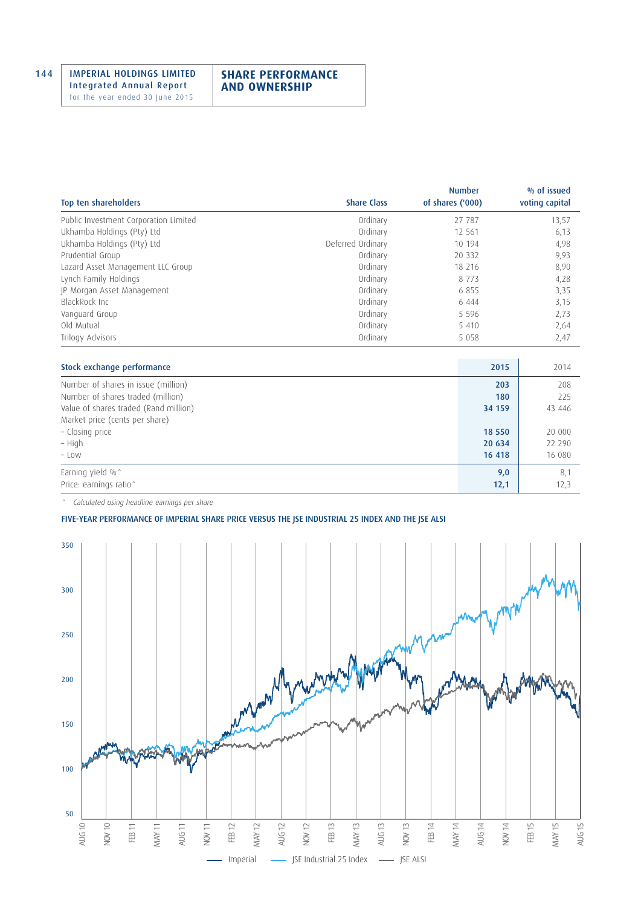## **SHARE PERFORMANCE AND OWNERSHIP**

| Top ten shareholders                  | <b>Share Class</b> | <b>Number</b><br>of shares ('000) | % of issued<br>voting capital |
|---------------------------------------|--------------------|-----------------------------------|-------------------------------|
| Public Investment Corporation Limited | Ordinary           | 27 787                            | 13,57                         |
| Ukhamba Holdings (Pty) Ltd            | Ordinary           | 12 5 61                           | 6,13                          |
| Ukhamba Holdings (Pty) Ltd            | Deferred Ordinary  | 10 194                            | 4,98                          |
| Prudential Group                      | Ordinary           | 20 3 32                           | 9,93                          |
| Lazard Asset Management LLC Group     | Ordinary           | 18 216                            | 8,90                          |
| Lynch Family Holdings                 | Ordinary           | 8 7 7 3                           | 4,28                          |
| JP Morgan Asset Management            | Ordinary           | 6855                              | 3,35                          |
| BlackRock Inc                         | Ordinary           | 6 4 4 4                           | 3,15                          |
| Vanguard Group                        | Ordinary           | 5 5 9 6                           | 2,73                          |
| Old Mutual                            | Ordinary           | 5 4 1 0                           | 2,64                          |
| Trilogy Advisors                      | Ordinary           | 5 0 5 8                           | 2,47                          |

| Stock exchange performance            | 2015   | 2014   |
|---------------------------------------|--------|--------|
| Number of shares in issue (million)   | 203    | 208    |
| Number of shares traded (million)     | 180    | 225    |
| Value of shares traded (Rand million) | 34 159 | 43 446 |
| Market price (cents per share)        |        |        |
| - Closing price                       | 18 550 | 20 000 |
| – High                                | 20 634 | 22 290 |
| $-$ Low                               | 16 418 | 16 080 |
| Earning yield %^                      | 9,0    | 8,1    |
| Price: earnings ratio^                | 12,1   | 12,3   |

^ Calculated using headline earnings per share

## FIVE-YEAR PERFORMANCE OF IMPERIAL SHARE PRICE VERSUS THE JSE INDUSTRIAL 25 INDEX AND THE JSE ALSI